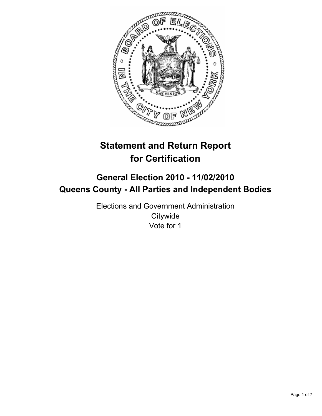

# **Statement and Return Report for Certification**

## **General Election 2010 - 11/02/2010 Queens County - All Parties and Independent Bodies**

Elections and Government Administration **Citywide** Vote for 1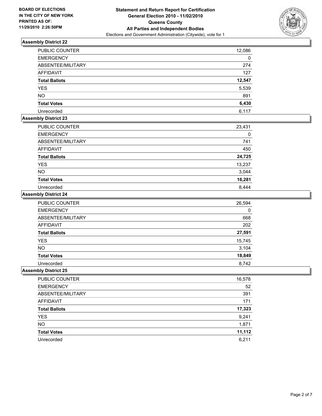

| PUBLIC COUNTER       | 12,086 |
|----------------------|--------|
| <b>EMERGENCY</b>     | 0      |
| ABSENTEE/MILITARY    | 274    |
| AFFIDAVIT            | 127    |
| <b>Total Ballots</b> | 12,547 |
| <b>YES</b>           | 5,539  |
| <b>NO</b>            | 891    |
| <b>Total Votes</b>   | 6,430  |
| Unrecorded           | 6.117  |

## **Assembly District 23**

| <b>PUBLIC COUNTER</b> | 23,431 |
|-----------------------|--------|
| <b>EMERGENCY</b>      |        |
| ABSENTEE/MILITARY     | 741    |
| <b>AFFIDAVIT</b>      | 450    |
| <b>Total Ballots</b>  | 24,725 |
| <b>YES</b>            | 13,237 |
| <b>NO</b>             | 3,044  |
| <b>Total Votes</b>    | 16,281 |
| Unrecorded            | 8.444  |

## **Assembly District 24**

| <b>PUBLIC COUNTER</b> | 26,594 |
|-----------------------|--------|
| <b>EMERGENCY</b>      | 0      |
| ABSENTEE/MILITARY     | 668    |
| <b>AFFIDAVIT</b>      | 202    |
| <b>Total Ballots</b>  | 27,591 |
| <b>YES</b>            | 15,745 |
| <b>NO</b>             | 3,104  |
| <b>Total Votes</b>    | 18,849 |
| Unrecorded            | 8.742  |

| PUBLIC COUNTER       | 16,578 |
|----------------------|--------|
| <b>EMERGENCY</b>     | 52     |
| ABSENTEE/MILITARY    | 391    |
| AFFIDAVIT            | 171    |
| <b>Total Ballots</b> | 17,323 |
| <b>YES</b>           | 9,241  |
| <b>NO</b>            | 1,871  |
| <b>Total Votes</b>   | 11,112 |
| Unrecorded           | 6.211  |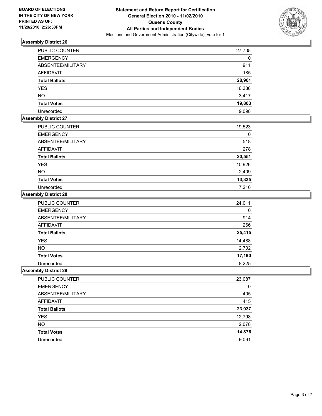

| <b>PUBLIC COUNTER</b> | 27,705 |
|-----------------------|--------|
| <b>EMERGENCY</b>      | 0      |
| ABSENTEE/MILITARY     | 911    |
| <b>AFFIDAVIT</b>      | 185    |
| <b>Total Ballots</b>  | 28,901 |
| <b>YES</b>            | 16,386 |
| <b>NO</b>             | 3,417  |
| <b>Total Votes</b>    | 19,803 |
| Unrecorded            | 9.098  |

## **Assembly District 27**

| <b>PUBLIC COUNTER</b> | 19,523 |
|-----------------------|--------|
| <b>EMERGENCY</b>      | 0      |
| ABSENTEE/MILITARY     | 518    |
| AFFIDAVIT             | 278    |
| <b>Total Ballots</b>  | 20,551 |
| <b>YES</b>            | 10,926 |
| <b>NO</b>             | 2,409  |
| <b>Total Votes</b>    | 13,335 |
| Unrecorded            | 7.216  |

#### **Assembly District 28**

| PUBLIC COUNTER       | 24,011 |
|----------------------|--------|
| <b>EMERGENCY</b>     | 0      |
| ABSENTEE/MILITARY    | 914    |
| <b>AFFIDAVIT</b>     | 266    |
| <b>Total Ballots</b> | 25,415 |
| <b>YES</b>           | 14,488 |
| <b>NO</b>            | 2,702  |
| <b>Total Votes</b>   | 17,190 |
| Unrecorded           | 8.225  |

| PUBLIC COUNTER       | 23,087 |
|----------------------|--------|
| <b>EMERGENCY</b>     | 0      |
| ABSENTEE/MILITARY    | 405    |
| AFFIDAVIT            | 415    |
| <b>Total Ballots</b> | 23,937 |
| <b>YES</b>           | 12,798 |
| <b>NO</b>            | 2,078  |
| <b>Total Votes</b>   | 14,876 |
| Unrecorded           | 9,061  |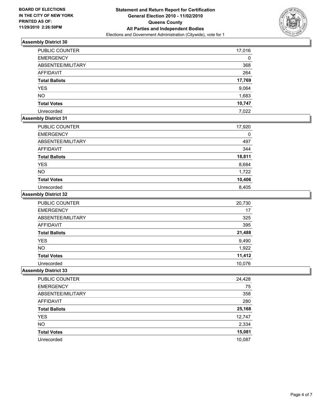

| PUBLIC COUNTER       | 17,016 |
|----------------------|--------|
| <b>EMERGENCY</b>     | 0      |
| ABSENTEE/MILITARY    | 368    |
| AFFIDAVIT            | 264    |
| <b>Total Ballots</b> | 17,769 |
| <b>YES</b>           | 9,064  |
| <b>NO</b>            | 1,683  |
| <b>Total Votes</b>   | 10,747 |
| Unrecorded           | 7.022  |

## **Assembly District 31**

| PUBLIC COUNTER       | 17,920 |
|----------------------|--------|
| <b>EMERGENCY</b>     | 0      |
| ABSENTEE/MILITARY    | 497    |
| <b>AFFIDAVIT</b>     | 344    |
| <b>Total Ballots</b> | 18,811 |
| <b>YES</b>           | 8,684  |
| <b>NO</b>            | 1,722  |
| <b>Total Votes</b>   | 10,406 |
| Unrecorded           | 8.405  |

## **Assembly District 32**

| PUBLIC COUNTER       | 20,730 |
|----------------------|--------|
| <b>EMERGENCY</b>     | 17     |
| ABSENTEE/MILITARY    | 325    |
| <b>AFFIDAVIT</b>     | 395    |
| <b>Total Ballots</b> | 21,488 |
| <b>YES</b>           | 9,490  |
| <b>NO</b>            | 1,922  |
| <b>Total Votes</b>   | 11,412 |
| Unrecorded           | 10.076 |

| PUBLIC COUNTER       | 24,428 |
|----------------------|--------|
| <b>EMERGENCY</b>     | 75     |
| ABSENTEE/MILITARY    | 358    |
| AFFIDAVIT            | 280    |
| <b>Total Ballots</b> | 25,168 |
| <b>YES</b>           | 12,747 |
| <b>NO</b>            | 2,334  |
| <b>Total Votes</b>   | 15,081 |
| Unrecorded           | 10.087 |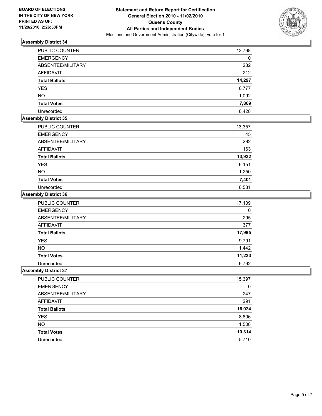

| <b>PUBLIC COUNTER</b> | 13,768 |
|-----------------------|--------|
| <b>EMERGENCY</b>      | 0      |
| ABSENTEE/MILITARY     | 232    |
| <b>AFFIDAVIT</b>      | 212    |
| <b>Total Ballots</b>  | 14,297 |
| <b>YES</b>            | 6,777  |
| <b>NO</b>             | 1,092  |
| <b>Total Votes</b>    | 7,869  |
| Unrecorded            | 6.428  |

## **Assembly District 35**

| <b>PUBLIC COUNTER</b> | 13,357 |
|-----------------------|--------|
| <b>EMERGENCY</b>      | 45     |
| ABSENTEE/MILITARY     | 292    |
| AFFIDAVIT             | 163    |
| <b>Total Ballots</b>  | 13,932 |
| <b>YES</b>            | 6,151  |
| <b>NO</b>             | 1,250  |
| <b>Total Votes</b>    | 7,401  |
| Unrecorded            | 6,531  |

#### **Assembly District 36**

| <b>PUBLIC COUNTER</b> | 17,109 |
|-----------------------|--------|
| <b>EMERGENCY</b>      | 0      |
| ABSENTEE/MILITARY     | 295    |
| <b>AFFIDAVIT</b>      | 377    |
| <b>Total Ballots</b>  | 17,995 |
| <b>YES</b>            | 9,791  |
| <b>NO</b>             | 1,442  |
| <b>Total Votes</b>    | 11,233 |
| Unrecorded            | 6.762  |

| PUBLIC COUNTER       | 15,397 |
|----------------------|--------|
| <b>EMERGENCY</b>     | 0      |
| ABSENTEE/MILITARY    | 247    |
| <b>AFFIDAVIT</b>     | 291    |
| <b>Total Ballots</b> | 16,024 |
| <b>YES</b>           | 8,806  |
| <b>NO</b>            | 1,508  |
| <b>Total Votes</b>   | 10,314 |
| Unrecorded           | 5,710  |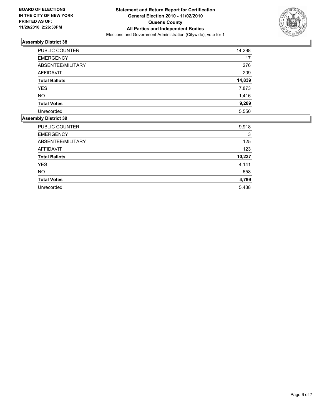

| <b>PUBLIC COUNTER</b> | 14,298 |
|-----------------------|--------|
| <b>EMERGENCY</b>      | 17     |
| ABSENTEE/MILITARY     | 276    |
| <b>AFFIDAVIT</b>      | 209    |
| <b>Total Ballots</b>  | 14,839 |
| <b>YES</b>            | 7,873  |
| <b>NO</b>             | 1,416  |
| <b>Total Votes</b>    | 9,289  |
| Unrecorded            | 5,550  |
|                       |        |

| PUBLIC COUNTER       | 9,918  |
|----------------------|--------|
| <b>EMERGENCY</b>     | 3      |
| ABSENTEE/MILITARY    | 125    |
| <b>AFFIDAVIT</b>     | 123    |
| <b>Total Ballots</b> | 10,237 |
| <b>YES</b>           | 4,141  |
| <b>NO</b>            | 658    |
| <b>Total Votes</b>   | 4,799  |
| Unrecorded           | 5,438  |